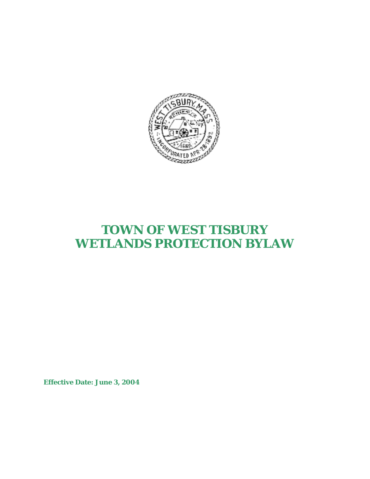

# **TOWN OF WEST TISBURY WETLANDS PROTECTION BYLAW**

**Effective Date: June 3, 2004**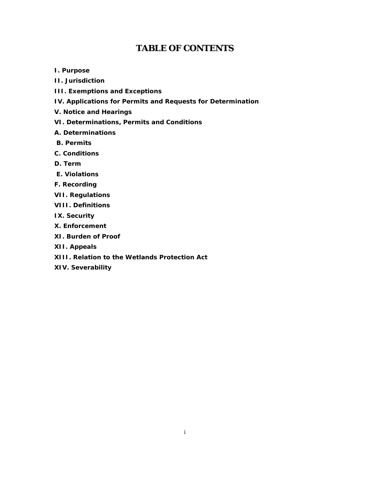# **TABLE OF CONTENTS**

- **I. Purpose**
- **II. Jurisdiction**
- **III. Exemptions and Exceptions**
- **IV. Applications for Permits and Requests for Determination**
- **V. Notice and Hearings**
- **VI. Determinations, Permits and Conditions**
- **A. Determinations**
- **B. Permits**
- **C. Conditions**
- **D. Term**
- **E. Violations**
- **F. Recording**
- **VII. Regulations**
- **VIII. Definitions**
- **IX. Security**
- **X. Enforcement**
- **XI. Burden of Proof**
- **XII. Appeals**
- **XIII. Relation to the Wetlands Protection Act**
- **XIV. Severability**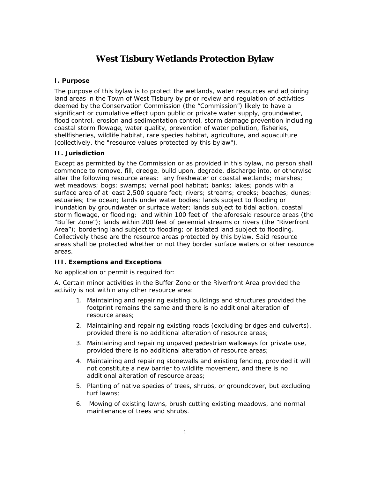# **West Tisbury Wetlands Protection Bylaw**

# **I. Purpose**

The purpose of this bylaw is to protect the wetlands, water resources and adjoining land areas in the Town of West Tisbury by prior review and regulation of activities deemed by the Conservation Commission (the "Commission") likely to have a significant or cumulative effect upon public or private water supply, groundwater, flood control, erosion and sedimentation control, storm damage prevention including coastal storm flowage, water quality, prevention of water pollution, fisheries, shellfisheries, wildlife habitat, rare species habitat, agriculture, and aquaculture (collectively, the "resource values protected by this bylaw").

# **II. Jurisdiction**

Except as permitted by the Commission or as provided in this bylaw, no person shall commence to remove, fill, dredge, build upon, degrade, discharge into, or otherwise alter the following resource areas: any freshwater or coastal wetlands; marshes; wet meadows; bogs; swamps; vernal pool habitat; banks; lakes; ponds with a surface area of at least 2,500 square feet; rivers; streams; creeks; beaches; dunes; estuaries; the ocean; lands under water bodies; lands subject to flooding or inundation by groundwater or surface water; lands subject to tidal action, coastal storm flowage, or flooding; land within 100 feet of the aforesaid resource areas (the "Buffer Zone"); lands within 200 feet of perennial streams or rivers (the "Riverfront Area"); bordering land subject to flooding; or isolated land subject to flooding. Collectively these are the resource areas protected by this bylaw. Said resource areas shall be protected whether or not they border surface waters or other resource areas.

#### **III. Exemptions and Exceptions**

No application or permit is required for:

A. Certain minor activities in the Buffer Zone or the Riverfront Area provided the activity is not within any other resource area:

- 1. Maintaining and repairing existing buildings and structures provided the footprint remains the same and there is no additional alteration of resource areas;
- 2. Maintaining and repairing existing roads (excluding bridges and culverts), provided there is no additional alteration of resource areas;
- 3. Maintaining and repairing unpaved pedestrian walkways for private use, provided there is no additional alteration of resource areas;
- 4. Maintaining and repairing stonewalls and existing fencing, provided it will not constitute a new barrier to wildlife movement, and there is no additional alteration of resource areas;
- 5. Planting of native species of trees, shrubs, or groundcover, but excluding turf lawns;
- 6. Mowing of existing lawns, brush cutting existing meadows, and normal maintenance of trees and shrubs.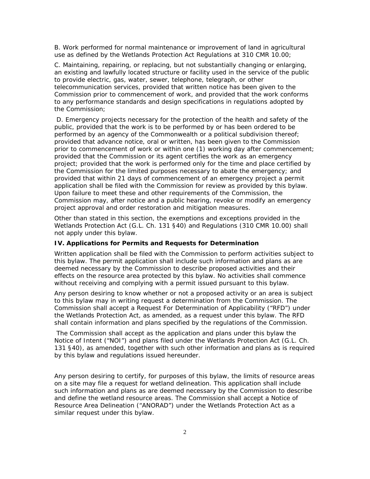B. Work performed for normal maintenance or improvement of land in agricultural use as defined by the Wetlands Protection Act Regulations at 310 CMR 10.00;

C. Maintaining, repairing, or replacing, but not substantially changing or enlarging, an existing and lawfully located structure or facility used in the service of the public to provide electric, gas, water, sewer, telephone, telegraph, or other telecommunication services, provided that written notice has been given to the Commission prior to commencement of work, and provided that the work conforms to any performance standards and design specifications in regulations adopted by the Commission;

 D. Emergency projects necessary for the protection of the health and safety of the public, provided that the work is to be performed by or has been ordered to be performed by an agency of the Commonwealth or a political subdivision thereof; provided that advance notice, oral or written, has been given to the Commission prior to commencement of work or within one (1) working day after commencement; provided that the Commission or its agent certifies the work as an emergency project; provided that the work is performed only for the time and place certified by the Commission for the limited purposes necessary to abate the emergency; and provided that within 21 days of commencement of an emergency project a permit application shall be filed with the Commission for review as provided by this bylaw. Upon failure to meet these and other requirements of the Commission, the Commission may, after notice and a public hearing, revoke or modify an emergency project approval and order restoration and mitigation measures.

Other than stated in this section, the exemptions and exceptions provided in the Wetlands Protection Act (G.L. Ch. 131 §40) and Regulations (310 CMR 10.00) shall not apply under this bylaw.

# **IV. Applications for Permits and Requests for Determination**

Written application shall be filed with the Commission to perform activities subject to this bylaw. The permit application shall include such information and plans as are deemed necessary by the Commission to describe proposed activities and their effects on the resource area protected by this bylaw. No activities shall commence without receiving and complying with a permit issued pursuant to this bylaw.

Any person desiring to know whether or not a proposed activity or an area is subject to this bylaw may in writing request a determination from the Commission. The Commission shall accept a Request For Determination of Applicability ("RFD") under the Wetlands Protection Act, as amended, as a request under this bylaw. The RFD shall contain information and plans specified by the regulations of the Commission.

 The Commission shall accept as the application and plans under this bylaw the Notice of Intent ("NOI") and plans filed under the Wetlands Protection Act (G.L. Ch. 131 §40), as amended, together with such other information and plans as is required by this bylaw and regulations issued hereunder.

Any person desiring to certify, for purposes of this bylaw, the limits of resource areas on a site may file a request for wetland delineation. This application shall include such information and plans as are deemed necessary by the Commission to describe and define the wetland resource areas. The Commission shall accept a Notice of Resource Area Delineation ("ANORAD") under the Wetlands Protection Act as a similar request under this bylaw.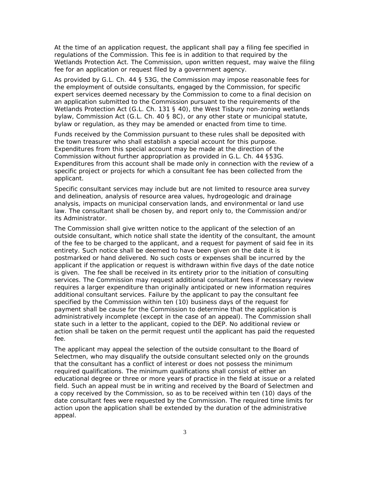At the time of an application request, the applicant shall pay a filing fee specified in regulations of the Commission. This fee is in addition to that required by the Wetlands Protection Act. The Commission, upon written request, may waive the filing fee for an application or request filed by a government agency.

As provided by G.L. Ch. 44 § 53G, the Commission may impose reasonable fees for the employment of outside consultants, engaged by the Commission, for specific expert services deemed necessary by the Commission to come to a final decision on an application submitted to the Commission pursuant to the requirements of the Wetlands Protection Act (G.L. Ch. 131 § 40), the West Tisbury non-zoning wetlands bylaw, Commission Act (G.L. Ch. 40 § 8C), or any other state or municipal statute, bylaw or regulation, as they may be amended or enacted from time to time.

Funds received by the Commission pursuant to these rules shall be deposited with the town treasurer who shall establish a special account for this purpose. Expenditures from this special account may be made at the direction of the Commission without further appropriation as provided in G.L. Ch. 44 §53G. Expenditures from this account shall be made only in connection with the review of a specific project or projects for which a consultant fee has been collected from the applicant.

Specific consultant services may include but are not limited to resource area survey and delineation, analysis of resource area values, hydrogeologic and drainage analysis, impacts on municipal conservation lands, and environmental or land use law. The consultant shall be chosen by, and report only to, the Commission and/or its Administrator.

The Commission shall give written notice to the applicant of the selection of an outside consultant, which notice shall state the identity of the consultant, the amount of the fee to be charged to the applicant, and a request for payment of said fee in its entirety. Such notice shall be deemed to have been given on the date it is postmarked or hand delivered. No such costs or expenses shall be incurred by the applicant if the application or request is withdrawn within five days of the date notice is given. The fee shall be received in its entirety prior to the initiation of consulting services. The Commission may request additional consultant fees if necessary review requires a larger expenditure than originally anticipated or new information requires additional consultant services. Failure by the applicant to pay the consultant fee specified by the Commission within ten (10) business days of the request for payment shall be cause for the Commission to determine that the application is administratively incomplete (except in the case of an appeal). The Commission shall state such in a letter to the applicant, copied to the DEP. No additional review or action shall be taken on the permit request until the applicant has paid the requested fee.

The applicant may appeal the selection of the outside consultant to the Board of Selectmen, who may disqualify the outside consultant selected only on the grounds that the consultant has a conflict of interest or does not possess the minimum required qualifications. The minimum qualifications shall consist of either an educational degree or three or more years of practice in the field at issue or a related field. Such an appeal must be in writing and received by the Board of Selectmen and a copy received by the Commission, so as to be received within ten (10) days of the date consultant fees were requested by the Commission. The required time limits for action upon the application shall be extended by the duration of the administrative appeal.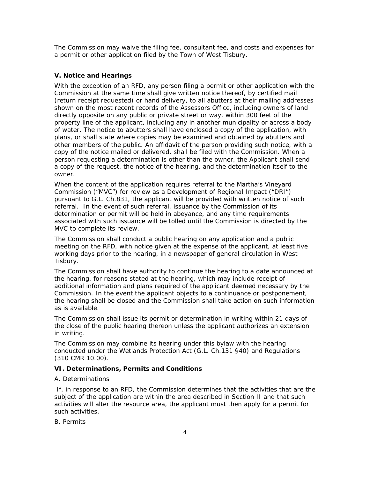The Commission may waive the filing fee, consultant fee, and costs and expenses for a permit or other application filed by the Town of West Tisbury.

# **V. Notice and Hearings**

With the exception of an RFD, any person filing a permit or other application with the Commission at the same time shall give written notice thereof, by certified mail (return receipt requested) or hand delivery, to all abutters at their mailing addresses shown on the most recent records of the Assessors Office, including owners of land directly opposite on any public or private street or way, within 300 feet of the property line of the applicant, including any in another municipality or across a body of water. The notice to abutters shall have enclosed a copy of the application, with plans, or shall state where copies may be examined and obtained by abutters and other members of the public. An affidavit of the person providing such notice, with a copy of the notice mailed or delivered, shall be filed with the Commission. When a person requesting a determination is other than the owner, the Applicant shall send a copy of the request, the notice of the hearing, and the determination itself to the owner.

When the content of the application requires referral to the Martha's Vineyard Commission ("MVC") for review as a Development of Regional Impact ("DRI") pursuant to G.L. Ch.831, the applicant will be provided with written notice of such referral. In the event of such referral, issuance by the Commission of its determination or permit will be held in abeyance, and any time requirements associated with such issuance will be tolled until the Commission is directed by the MVC to complete its review.

The Commission shall conduct a public hearing on any application and a public meeting on the RFD, with notice given at the expense of the applicant, at least five working days prior to the hearing, in a newspaper of general circulation in West Tisbury.

The Commission shall have authority to continue the hearing to a date announced at the hearing, for reasons stated at the hearing, which may include receipt of additional information and plans required of the applicant deemed necessary by the Commission. In the event the applicant objects to a continuance or postponement, the hearing shall be closed and the Commission shall take action on such information as is available.

The Commission shall issue its permit or determination in writing within 21 days of the close of the public hearing thereon unless the applicant authorizes an extension in writing.

The Commission may combine its hearing under this bylaw with the hearing conducted under the Wetlands Protection Act (G.L. Ch.131 §40) and Regulations (310 CMR 10.00).

#### **VI. Determinations, Permits and Conditions**

#### A. Determinations

 If, in response to an RFD, the Commission determines that the activities that are the subject of the application are within the area described in Section II and that such activities will alter the resource area, the applicant must then apply for a permit for such activities.

#### B. Permits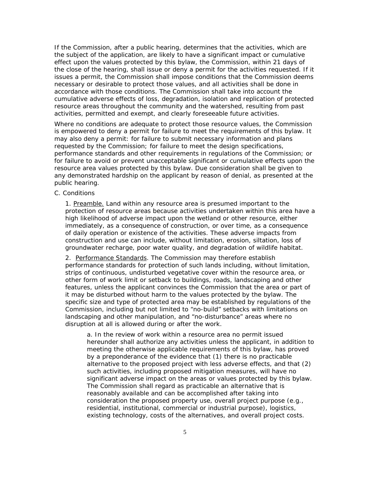If the Commission, after a public hearing, determines that the activities, which are the subject of the application, are likely to have a significant impact or cumulative effect upon the values protected by this bylaw, the Commission, within 21 days of the close of the hearing, shall issue or deny a permit for the activities requested. If it issues a permit, the Commission shall impose conditions that the Commission deems necessary or desirable to protect those values, and all activities shall be done in accordance with those conditions. The Commission shall take into account the cumulative adverse effects of loss, degradation, isolation and replication of protected resource areas throughout the community and the watershed, resulting from past activities, permitted and exempt, and clearly foreseeable future activities.

Where no conditions are adequate to protect those resource values, the Commission is empowered to deny a permit for failure to meet the requirements of this bylaw. It may also deny a permit: for failure to submit necessary information and plans requested by the Commission; for failure to meet the design specifications, performance standards and other requirements in regulations of the Commission; or for failure to avoid or prevent unacceptable significant or cumulative effects upon the resource area values protected by this bylaw. Due consideration shall be given to any demonstrated hardship on the applicant by reason of denial, as presented at the public hearing.

#### C. Conditions

1. Preamble. Land within any resource area is presumed important to the protection of resource areas because activities undertaken within this area have a high likelihood of adverse impact upon the wetland or other resource, either immediately, as a consequence of construction, or over time, as a consequence of daily operation or existence of the activities. These adverse impacts from construction and use can include, without limitation, erosion, siltation, loss of groundwater recharge, poor water quality, and degradation of wildlife habitat.

2. Performance Standards. The Commission may therefore establish performance standards for protection of such lands including, without limitation, strips of continuous, undisturbed vegetative cover within the resource area, or other form of work limit or setback to buildings, roads, landscaping and other features, unless the applicant convinces the Commission that the area or part of it may be disturbed without harm to the values protected by the bylaw. The specific size and type of protected area may be established by regulations of the Commission, including but not limited to "no-build" setbacks with limitations on landscaping and other manipulation, and "no-disturbance" areas where no disruption at all is allowed during or after the work.

a. In the review of work within a resource area no permit issued hereunder shall authorize any activities unless the applicant, in addition to meeting the otherwise applicable requirements of this bylaw, has proved by a preponderance of the evidence that (1) there is no practicable alternative to the proposed project with less adverse effects, and that (2) such activities, including proposed mitigation measures, will have no significant adverse impact on the areas or values protected by this bylaw. The Commission shall regard as practicable an alternative that is reasonably available and can be accomplished after taking into consideration the proposed property use, overall project purpose (e.g., residential, institutional, commercial or industrial purpose), logistics, existing technology, costs of the alternatives, and overall project costs.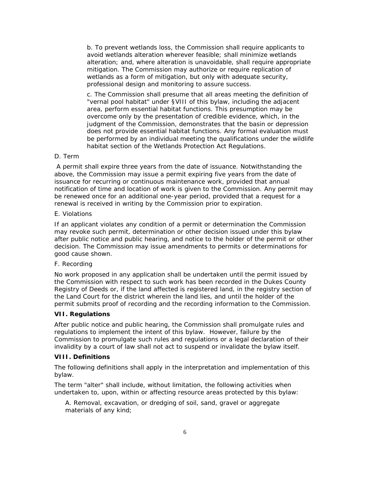b. To prevent wetlands loss, the Commission shall require applicants to avoid wetlands alteration wherever feasible; shall minimize wetlands alteration; and, where alteration is unavoidable, shall require appropriate mitigation. The Commission may authorize or require replication of wetlands as a form of mitigation, but only with adequate security, professional design and monitoring to assure success.

c. The Commission shall presume that all areas meeting the definition of "vernal pool habitat" under §VIII of this bylaw, including the adjacent area, perform essential habitat functions. This presumption may be overcome only by the presentation of credible evidence, which, in the judgment of the Commission, demonstrates that the basin or depression does not provide essential habitat functions. Any formal evaluation must be performed by an individual meeting the qualifications under the wildlife habitat section of the Wetlands Protection Act Regulations.

#### D. Term

 A permit shall expire three years from the date of issuance. Notwithstanding the above, the Commission may issue a permit expiring five years from the date of issuance for recurring or continuous maintenance work, provided that annual notification of time and location of work is given to the Commission. Any permit may be renewed once for an additional one-year period, provided that a request for a renewal is received in writing by the Commission prior to expiration.

#### E. Violations

If an applicant violates any condition of a permit or determination the Commission may revoke such permit, determination or other decision issued under this bylaw after public notice and public hearing, and notice to the holder of the permit or other decision. The Commission may issue amendments to permits or determinations for good cause shown.

#### F. Recording

No work proposed in any application shall be undertaken until the permit issued by the Commission with respect to such work has been recorded in the Dukes County Registry of Deeds or, if the land affected is registered land, in the registry section of the Land Court for the district wherein the land lies, and until the holder of the permit submits proof of recording and the recording information to the Commission.

#### **VII. Regulations**

After public notice and public hearing, the Commission shall promulgate rules and regulations to implement the intent of this bylaw. However, failure by the Commission to promulgate such rules and regulations or a legal declaration of their invalidity by a court of law shall not act to suspend or invalidate the bylaw itself.

# **VIII. Definitions**

The following definitions shall apply in the interpretation and implementation of this bylaw.

The term "alter" shall include, without limitation, the following activities when undertaken to, upon, within or affecting resource areas protected by this bylaw:

A. Removal, excavation, or dredging of soil, sand, gravel or aggregate materials of any kind;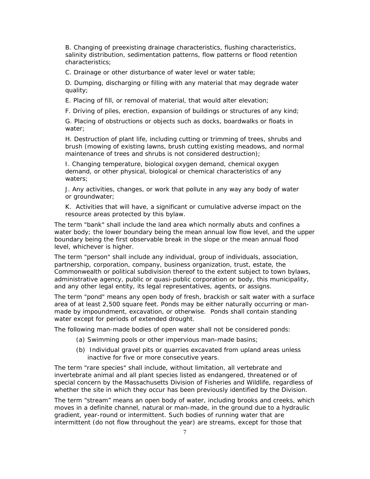B. Changing of preexisting drainage characteristics, flushing characteristics, salinity distribution, sedimentation patterns, flow patterns or flood retention characteristics;

C. Drainage or other disturbance of water level or water table;

D. Dumping, discharging or filling with any material that may degrade water quality;

E. Placing of fill, or removal of material, that would alter elevation;

F. Driving of piles, erection, expansion of buildings or structures of any kind;

G. Placing of obstructions or objects such as docks, boardwalks or floats in water;

H. Destruction of plant life, including cutting or trimming of trees, shrubs and brush (mowing of existing lawns, brush cutting existing meadows, and normal maintenance of trees and shrubs is not considered destruction);

I. Changing temperature, biological oxygen demand, chemical oxygen demand, or other physical, biological or chemical characteristics of any waters;

J. Any activities, changes, or work that pollute in any way any body of water or groundwater;

K. Activities that will have, a significant or cumulative adverse impact on the resource areas protected by this bylaw.

The term "bank" shall include the land area which normally abuts and confines a water body; the lower boundary being the mean annual low flow level, and the upper boundary being the first observable break in the slope or the mean annual flood level, whichever is higher.

The term "person" shall include any individual, group of individuals, association, partnership, corporation, company, business organization, trust, estate, the Commonwealth or political subdivision thereof to the extent subject to town bylaws, administrative agency, public or quasi-public corporation or body, this municipality, and any other legal entity, its legal representatives, agents, or assigns.

The term "pond" means any open body of fresh, brackish or salt water with a surface area of at least 2,500 square feet. Ponds may be either naturally occurring or manmade by impoundment, excavation, or otherwise. Ponds shall contain standing water except for periods of extended drought.

The following man-made bodies of open water shall not be considered ponds:

- (a) Swimming pools or other impervious man-made basins;
- (b) Individual gravel pits or quarries excavated from upland areas unless inactive for five or more consecutive years.

The term "rare species" shall include, without limitation, all vertebrate and invertebrate animal and all plant species listed as endangered, threatened or of special concern by the Massachusetts Division of Fisheries and Wildlife, regardless of whether the site in which they occur has been previously identified by the Division.

The term "stream" means an open body of water, including brooks and creeks, which moves in a definite channel, natural or man-made, in the ground due to a hydraulic gradient, year-round or intermittent. Such bodies of running water that are intermittent (do not flow throughout the year) are streams, except for those that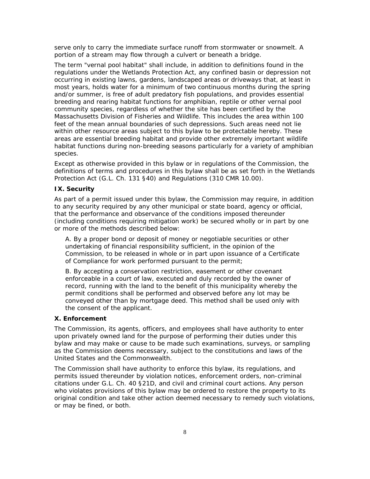serve only to carry the immediate surface runoff from stormwater or snowmelt. A portion of a stream may flow through a culvert or beneath a bridge.

The term "vernal pool habitat" shall include, in addition to definitions found in the regulations under the Wetlands Protection Act, any confined basin or depression not occurring in existing lawns, gardens, landscaped areas or driveways that, at least in most years, holds water for a minimum of two continuous months during the spring and/or summer, is free of adult predatory fish populations, and provides essential breeding and rearing habitat functions for amphibian, reptile or other vernal pool community species, regardless of whether the site has been certified by the Massachusetts Division of Fisheries and Wildlife. This includes the area within 100 feet of the mean annual boundaries of such depressions. Such areas need not lie within other resource areas subject to this bylaw to be protectable hereby. These areas are essential breeding habitat and provide other extremely important wildlife habitat functions during non-breeding seasons particularly for a variety of amphibian species.

Except as otherwise provided in this bylaw or in regulations of the Commission, the definitions of terms and procedures in this bylaw shall be as set forth in the Wetlands Protection Act (G.L. Ch. 131 §40) and Regulations (310 CMR 10.00).

#### **IX. Security**

As part of a permit issued under this bylaw, the Commission may require, in addition to any security required by any other municipal or state board, agency or official, that the performance and observance of the conditions imposed thereunder (including conditions requiring mitigation work) be secured wholly or in part by one or more of the methods described below:

A. By a proper bond or deposit of money or negotiable securities or other undertaking of financial responsibility sufficient, in the opinion of the Commission, to be released in whole or in part upon issuance of a Certificate of Compliance for work performed pursuant to the permit;

B. By accepting a conservation restriction, easement or other covenant enforceable in a court of law, executed and duly recorded by the owner of record, running with the land to the benefit of this municipality whereby the permit conditions shall be performed and observed before any lot may be conveyed other than by mortgage deed. This method shall be used only with the consent of the applicant.

#### **X. Enforcement**

The Commission, its agents, officers, and employees shall have authority to enter upon privately owned land for the purpose of performing their duties under this bylaw and may make or cause to be made such examinations, surveys, or sampling as the Commission deems necessary, subject to the constitutions and laws of the United States and the Commonwealth.

The Commission shall have authority to enforce this bylaw, its regulations, and permits issued thereunder by violation notices, enforcement orders, non-criminal citations under G.L. Ch. 40 §21D, and civil and criminal court actions. Any person who violates provisions of this bylaw may be ordered to restore the property to its original condition and take other action deemed necessary to remedy such violations, or may be fined, or both.